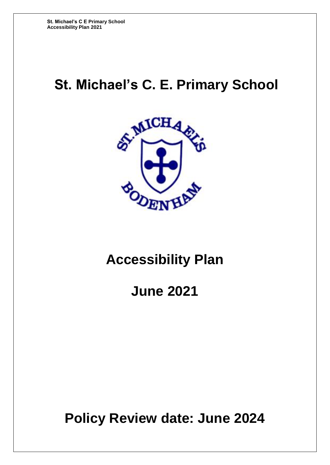# **St. Michael's C. E. Primary School**



# **Accessibility Plan**

**June 2021**

**Policy Review date: June 2024**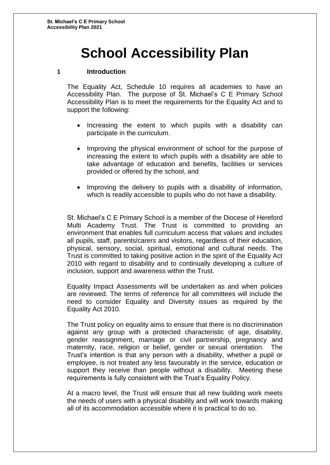# **School Accessibility Plan**

### **1 Introduction**

The Equality Act, Schedule 10 requires all academies to have an Accessibility Plan. The purpose of St. Michael's C E Primary School Accessibility Plan is to meet the requirements for the Equality Act and to support the following:

- Increasing the extent to which pupils with a disability can participate in the curriculum.
- Improving the physical environment of school for the purpose of increasing the extent to which pupils with a disability are able to take advantage of education and benefits, facilities or services provided or offered by the school, and
- Improving the delivery to pupils with a disability of information, which is readily accessible to pupils who do not have a disability.

St. Michael's C E Primary School is a member of the Diocese of Hereford Multi Academy Trust. The Trust is committed to providing an environment that enables full curriculum access that values and includes all pupils, staff, parents/carers and visitors, regardless of their education, physical, sensory, social, spiritual, emotional and cultural needs. The Trust is committed to taking positive action in the spirit of the Equality Act 2010 with regard to disability and to continually developing a culture of inclusion, support and awareness within the Trust.

Equality Impact Assessments will be undertaken as and when policies are reviewed. The terms of reference for all committees will include the need to consider Equality and Diversity issues as required by the Equality Act 2010.

The Trust policy on equality aims to ensure that there is no discrimination against any group with a protected characteristic of age, disability, gender reassignment, marriage or civil partnership, pregnancy and maternity, race, religion or belief, gender or sexual orientation. The Trust's intention is that any person with a disability, whether a pupil or employee, is not treated any less favourably in the service, education or support they receive than people without a disability. Meeting these requirements is fully consistent with the Trust's Equality Policy.

At a macro level, the Trust will ensure that all new building work meets the needs of users with a physical disability and will work towards making all of its accommodation accessible where it is practical to do so.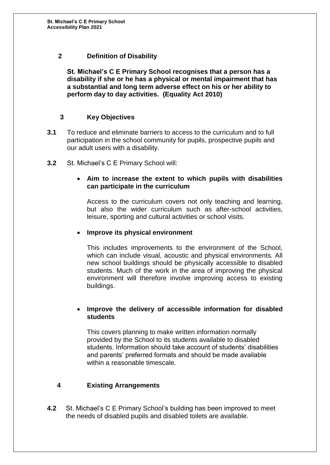### **2 Definition of Disability**

**St. Michael's C E Primary School recognises that a person has a disability if she or he has a physical or mental impairment that has a substantial and long term adverse effect on his or her ability to perform day to day activities. (Equality Act 2010)**

### **3 Key Objectives**

- **3.1** To reduce and eliminate barriers to access to the curriculum and to full participation in the school community for pupils, prospective pupils and our adult users with a disability.
- **3.2** St. Michael's C E Primary School will:

#### **Aim to increase the extent to which pupils with disabilities can participate in the curriculum**

Access to the curriculum covers not only teaching and learning, but also the wider curriculum such as after-school activities, leisure, sporting and cultural activities or school visits.

### **Improve its physical environment**

This includes improvements to the environment of the School, which can include visual, acoustic and physical environments. All new school buildings should be physically accessible to disabled students. Much of the work in the area of improving the physical environment will therefore involve improving access to existing buildings.

#### **Improve the delivery of accessible information for disabled students**

This covers planning to make written information normally provided by the School to its students available to disabled students. Information should take account of students' disabilities and parents' preferred formats and should be made available within a reasonable timescale.

# **4 Existing Arrangements**

**4.2** St. Michael's C E Primary School's building has been improved to meet the needs of disabled pupils and disabled toilets are available.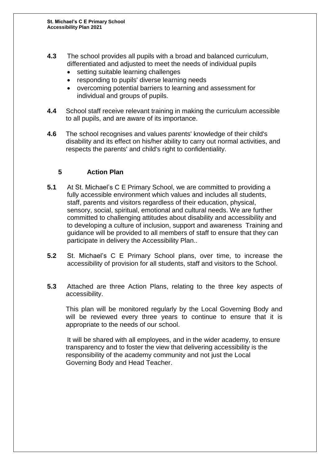- **4.3** The school provides all pupils with a broad and balanced curriculum, differentiated and adjusted to meet the needs of individual pupils
	- setting suitable learning challenges
	- responding to pupils' diverse learning needs
	- overcoming potential barriers to learning and assessment for individual and groups of pupils.
- **4.4** School staff receive relevant training in making the curriculum accessible to all pupils, and are aware of its importance.
- **4.6** The school recognises and values parents' knowledge of their child's disability and its effect on his/her ability to carry out normal activities, and respects the parents' and child's right to confidentiality.

# **5 Action Plan**

- **5.1** At St. Michael's C E Primary School, we are committed to providing a fully accessible environment which values and includes all students, staff, parents and visitors regardless of their education, physical, sensory, social, spiritual, emotional and cultural needs. We are further committed to challenging attitudes about disability and accessibility and to developing a culture of inclusion, support and awareness Training and guidance will be provided to all members of staff to ensure that they can participate in delivery the Accessibility Plan..
- **5.2** St. Michael's C E Primary School plans, over time, to increase the accessibility of provision for all students, staff and visitors to the School.
- **5.3** Attached are three Action Plans, relating to the three key aspects of accessibility.

This plan will be monitored regularly by the Local Governing Body and will be reviewed every three years to continue to ensure that it is appropriate to the needs of our school.

It will be shared with all employees, and in the wider academy, to ensure transparency and to foster the view that delivering accessibility is the responsibility of the academy community and not just the Local Governing Body and Head Teacher.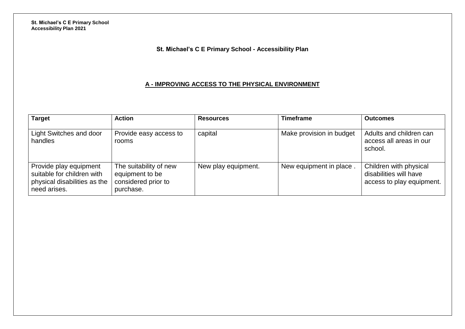# **St. Michael's C E Primary School - Accessibility Plan**

### **A - IMPROVING ACCESS TO THE PHYSICAL ENVIRONMENT**

| <b>Target</b>                                                                                        | <b>Action</b>                                                                 | <b>Resources</b>    | <b>Timeframe</b>         | <b>Outcomes</b>                                                               |
|------------------------------------------------------------------------------------------------------|-------------------------------------------------------------------------------|---------------------|--------------------------|-------------------------------------------------------------------------------|
| Light Switches and door<br>handles                                                                   | Provide easy access to<br>rooms                                               | capital             | Make provision in budget | Adults and children can<br>access all areas in our<br>school.                 |
| Provide play equipment<br>suitable for children with<br>physical disabilities as the<br>need arises. | The suitability of new<br>equipment to be<br>considered prior to<br>purchase. | New play equipment. | New equipment in place.  | Children with physical<br>disabilities will have<br>access to play equipment. |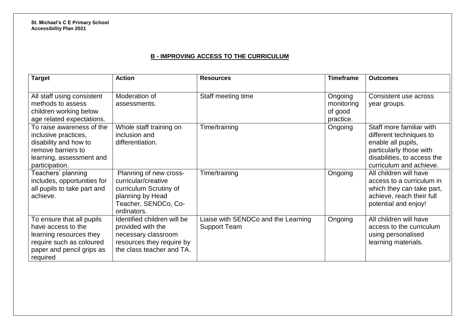**St. Michael's C E Primary School Accessibility Plan 2021**

# **B - IMPROVING ACCESS TO THE CURRICULUM**

| <b>Target</b>                                                                                                                                   | <b>Action</b>                                                                                                                      | <b>Resources</b>                                           | <b>Timeframe</b>                              | <b>Outcomes</b>                                                                                                                                                |
|-------------------------------------------------------------------------------------------------------------------------------------------------|------------------------------------------------------------------------------------------------------------------------------------|------------------------------------------------------------|-----------------------------------------------|----------------------------------------------------------------------------------------------------------------------------------------------------------------|
| All staff using consistent<br>methods to assess<br>children working below<br>age related expectations.                                          | Moderation of<br>assessments.                                                                                                      | Staff meeting time                                         | Ongoing<br>monitoring<br>of good<br>practice. | Consistent use across<br>year groups.                                                                                                                          |
| To raise awareness of the<br>inclusive practices,<br>disability and how to<br>remove barriers to<br>learning, assessment and<br>participation.  | Whole staff training on<br>inclusion and<br>differentiation.                                                                       | Time/training                                              | Ongoing                                       | Staff more familiar with<br>different techniques to<br>enable all pupils,<br>particularly those with<br>disabilities, to access the<br>curriculum and achieve. |
| Teachers' planning<br>includes, opportunities for<br>all pupils to take part and<br>achieve.                                                    | Planning of new cross-<br>curricular/creative<br>curriculum Scrutiny of<br>planning by Head<br>Teacher, SENDCo, Co-<br>ordinators. | Time/training                                              | Ongoing                                       | All children will have<br>access to a curriculum in<br>which they can take part,<br>achieve, reach their full<br>potential and enjoy!                          |
| To ensure that all pupils<br>have access to the<br>learning resources they<br>require such as coloured<br>paper and pencil grips as<br>required | Identified children will be<br>provided with the<br>necessary classroom<br>resources they require by<br>the class teacher and TA.  | Liaise with SENDCo and the Learning<br><b>Support Team</b> | Ongoing                                       | All children will have<br>access to the curriculum<br>using personalised<br>learning materials.                                                                |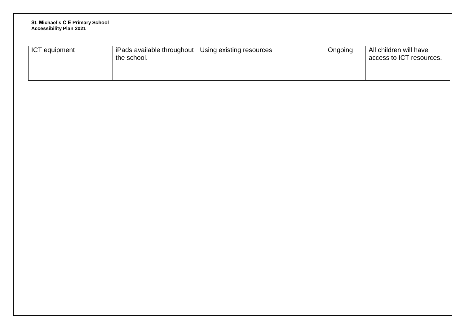#### **St. Michael's C E Primary School Accessibility Plan 2021**

| <b>ICT</b> equipment<br>iPads available throughout $ $<br>the school. | Using existing resources | Ongoing | All children will have<br>access to ICT resources. |
|-----------------------------------------------------------------------|--------------------------|---------|----------------------------------------------------|
|-----------------------------------------------------------------------|--------------------------|---------|----------------------------------------------------|